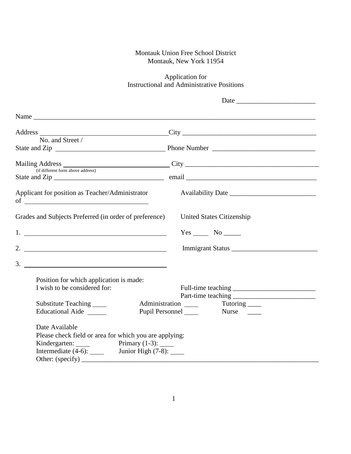## Montauk Union Free School District Montauk, New York 11954

## Application for Instructional and Administrative Positions

| No. and Street /                                                                                                                                                                                     |                                  |
|------------------------------------------------------------------------------------------------------------------------------------------------------------------------------------------------------|----------------------------------|
|                                                                                                                                                                                                      |                                  |
|                                                                                                                                                                                                      | Mailing Address City City City   |
|                                                                                                                                                                                                      |                                  |
| Applicant for position as Teacher/Administrator<br>of $\overline{\qquad \qquad }$                                                                                                                    |                                  |
| Grades and Subjects Preferred (in order of preference)                                                                                                                                               | <b>United States Citizenship</b> |
| $1.$ $\overline{\phantom{a}}$                                                                                                                                                                        |                                  |
|                                                                                                                                                                                                      |                                  |
|                                                                                                                                                                                                      |                                  |
| Position for which application is made:<br>I wish to be considered for:                                                                                                                              |                                  |
| Substitute Teaching                                                                                                                                                                                  |                                  |
| <b>Educational Aide</b>                                                                                                                                                                              | Pupil Personnel Nurse            |
| Date Available<br>Please check field or area for which you are applying:<br>Kindergarten: $\frac{\text{Primary (1-3)}}{\text{Primary (1-3)}}$<br>Intermediate $(4-6)$ : Junior High $(7-8)$ : ______ |                                  |
|                                                                                                                                                                                                      |                                  |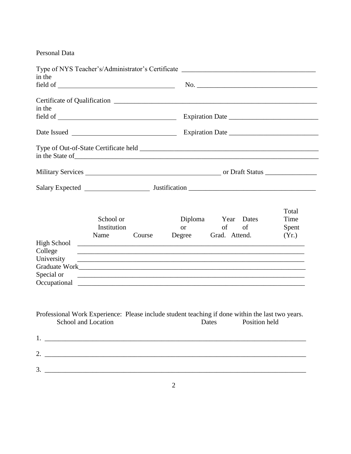## Personal Data

| in the                                                                                                                                      |                                                                                                                                                                                                                                                                                                                             |  |  |
|---------------------------------------------------------------------------------------------------------------------------------------------|-----------------------------------------------------------------------------------------------------------------------------------------------------------------------------------------------------------------------------------------------------------------------------------------------------------------------------|--|--|
|                                                                                                                                             |                                                                                                                                                                                                                                                                                                                             |  |  |
|                                                                                                                                             |                                                                                                                                                                                                                                                                                                                             |  |  |
| in the                                                                                                                                      |                                                                                                                                                                                                                                                                                                                             |  |  |
|                                                                                                                                             |                                                                                                                                                                                                                                                                                                                             |  |  |
|                                                                                                                                             |                                                                                                                                                                                                                                                                                                                             |  |  |
|                                                                                                                                             |                                                                                                                                                                                                                                                                                                                             |  |  |
|                                                                                                                                             |                                                                                                                                                                                                                                                                                                                             |  |  |
|                                                                                                                                             |                                                                                                                                                                                                                                                                                                                             |  |  |
| School or<br>Institution<br>Course<br>Name<br>College<br>University                                                                         | Total<br>Time<br>Diploma Year Dates<br>of<br>or and the state of the state of the state of the state of the state of the state of the state of the state of the state of the state of the state of the state of the state of the state of the state of the state of the sta<br>of<br>Spent<br>Degree Grad. Attend.<br>(Yr.) |  |  |
| Special or                                                                                                                                  |                                                                                                                                                                                                                                                                                                                             |  |  |
| Professional Work Experience: Please include student teaching if done within the last two years.<br>School and Location Dates Position held |                                                                                                                                                                                                                                                                                                                             |  |  |
|                                                                                                                                             |                                                                                                                                                                                                                                                                                                                             |  |  |
| 2. $\overline{\phantom{a}}$                                                                                                                 |                                                                                                                                                                                                                                                                                                                             |  |  |
|                                                                                                                                             |                                                                                                                                                                                                                                                                                                                             |  |  |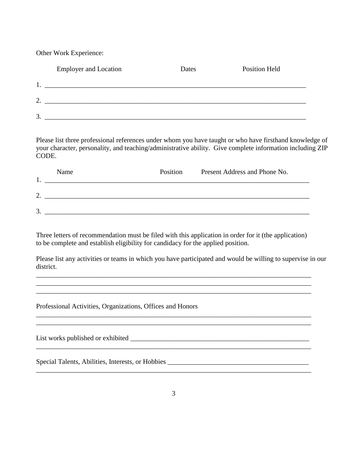Other Work Experience:

|          | <b>Employer and Location</b> | Dates | <b>Position Held</b> |  |
|----------|------------------------------|-------|----------------------|--|
|          |                              |       |                      |  |
| ⌒<br>ـ ت |                              |       |                      |  |
| 3        |                              |       |                      |  |

Please list three professional references under whom you have taught or who have firsthand knowledge of your character, personality, and teaching/administrative ability. Give complete information including ZIP CODE.

|    | Name | Position | Present Address and Phone No. |
|----|------|----------|-------------------------------|
| ◠  |      |          |                               |
| 3. |      |          |                               |

Three letters of recommendation must be filed with this application in order for it (the application) to be complete and establish eligibility for candidacy for the applied position.

\_\_\_\_\_\_\_\_\_\_\_\_\_\_\_\_\_\_\_\_\_\_\_\_\_\_\_\_\_\_\_\_\_\_\_\_\_\_\_\_\_\_\_\_\_\_\_\_\_\_\_\_\_\_\_\_\_\_\_\_\_\_\_\_\_\_\_\_\_\_\_\_\_\_\_\_\_\_\_\_ \_\_\_\_\_\_\_\_\_\_\_\_\_\_\_\_\_\_\_\_\_\_\_\_\_\_\_\_\_\_\_\_\_\_\_\_\_\_\_\_\_\_\_\_\_\_\_\_\_\_\_\_\_\_\_\_\_\_\_\_\_\_\_\_\_\_\_\_\_\_\_\_\_\_\_\_\_\_\_\_

\_\_\_\_\_\_\_\_\_\_\_\_\_\_\_\_\_\_\_\_\_\_\_\_\_\_\_\_\_\_\_\_\_\_\_\_\_\_\_\_\_\_\_\_\_\_\_\_\_\_\_\_\_\_\_\_\_\_\_\_\_\_\_\_\_\_\_\_\_\_\_\_\_\_\_\_\_\_\_\_

\_\_\_\_\_\_\_\_\_\_\_\_\_\_\_\_\_\_\_\_\_\_\_\_\_\_\_\_\_\_\_\_\_\_\_\_\_\_\_\_\_\_\_\_\_\_\_\_\_\_\_\_\_\_\_\_\_\_\_\_\_\_\_\_\_\_\_\_\_\_\_\_\_\_\_\_\_\_\_\_

\_\_\_\_\_\_\_\_\_\_\_\_\_\_\_\_\_\_\_\_\_\_\_\_\_\_\_\_\_\_\_\_\_\_\_\_\_\_\_\_\_\_\_\_\_\_\_\_\_\_\_\_\_\_\_\_\_\_\_\_\_\_\_\_\_\_\_\_\_\_\_\_\_\_\_\_\_\_\_\_

Please list any activities or teams in which you have participated and would be willing to supervise in our district.

Professional Activities, Organizations, Offices and Honors

List works published or exhibited  $\Box$ 

Special Talents, Abilities, Interests, or Hobbies \_\_\_\_\_\_\_\_\_\_\_\_\_\_\_\_\_\_\_\_\_\_\_\_\_\_\_\_\_\_\_\_\_\_\_\_\_\_\_\_\_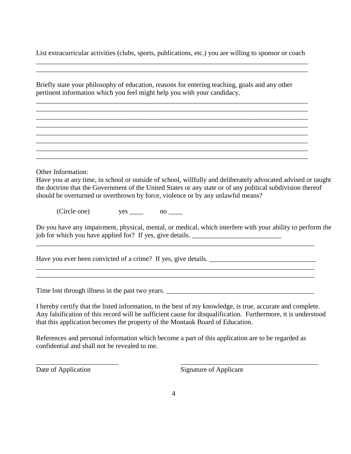List extracurricular activities (clubs, sports, publications, etc.) you are willing to sponsor or coach \_\_\_\_\_\_\_\_\_\_\_\_\_\_\_\_\_\_\_\_\_\_\_\_\_\_\_\_\_\_\_\_\_\_\_\_\_\_\_\_\_\_\_\_\_\_\_\_\_\_\_\_\_\_\_\_\_\_\_\_\_\_\_\_\_\_\_\_\_\_\_\_\_\_\_\_\_\_\_

\_\_\_\_\_\_\_\_\_\_\_\_\_\_\_\_\_\_\_\_\_\_\_\_\_\_\_\_\_\_\_\_\_\_\_\_\_\_\_\_\_\_\_\_\_\_\_\_\_\_\_\_\_\_\_\_\_\_\_\_\_\_\_\_\_\_\_\_\_\_\_\_\_\_\_\_\_\_\_

\_\_\_\_\_\_\_\_\_\_\_\_\_\_\_\_\_\_\_\_\_\_\_\_\_\_\_\_\_\_\_\_\_\_\_\_\_\_\_\_\_\_\_\_\_\_\_\_\_\_\_\_\_\_\_\_\_\_\_\_\_\_\_\_\_\_\_\_\_\_\_\_\_\_\_\_\_\_\_ \_\_\_\_\_\_\_\_\_\_\_\_\_\_\_\_\_\_\_\_\_\_\_\_\_\_\_\_\_\_\_\_\_\_\_\_\_\_\_\_\_\_\_\_\_\_\_\_\_\_\_\_\_\_\_\_\_\_\_\_\_\_\_\_\_\_\_\_\_\_\_\_\_\_\_\_\_\_\_ \_\_\_\_\_\_\_\_\_\_\_\_\_\_\_\_\_\_\_\_\_\_\_\_\_\_\_\_\_\_\_\_\_\_\_\_\_\_\_\_\_\_\_\_\_\_\_\_\_\_\_\_\_\_\_\_\_\_\_\_\_\_\_\_\_\_\_\_\_\_\_\_\_\_\_\_\_\_\_ \_\_\_\_\_\_\_\_\_\_\_\_\_\_\_\_\_\_\_\_\_\_\_\_\_\_\_\_\_\_\_\_\_\_\_\_\_\_\_\_\_\_\_\_\_\_\_\_\_\_\_\_\_\_\_\_\_\_\_\_\_\_\_\_\_\_\_\_\_\_\_\_\_\_\_\_\_\_\_ \_\_\_\_\_\_\_\_\_\_\_\_\_\_\_\_\_\_\_\_\_\_\_\_\_\_\_\_\_\_\_\_\_\_\_\_\_\_\_\_\_\_\_\_\_\_\_\_\_\_\_\_\_\_\_\_\_\_\_\_\_\_\_\_\_\_\_\_\_\_\_\_\_\_\_\_\_\_\_ \_\_\_\_\_\_\_\_\_\_\_\_\_\_\_\_\_\_\_\_\_\_\_\_\_\_\_\_\_\_\_\_\_\_\_\_\_\_\_\_\_\_\_\_\_\_\_\_\_\_\_\_\_\_\_\_\_\_\_\_\_\_\_\_\_\_\_\_\_\_\_\_\_\_\_\_\_\_\_ \_\_\_\_\_\_\_\_\_\_\_\_\_\_\_\_\_\_\_\_\_\_\_\_\_\_\_\_\_\_\_\_\_\_\_\_\_\_\_\_\_\_\_\_\_\_\_\_\_\_\_\_\_\_\_\_\_\_\_\_\_\_\_\_\_\_\_\_\_\_\_\_\_\_\_\_\_\_\_ \_\_\_\_\_\_\_\_\_\_\_\_\_\_\_\_\_\_\_\_\_\_\_\_\_\_\_\_\_\_\_\_\_\_\_\_\_\_\_\_\_\_\_\_\_\_\_\_\_\_\_\_\_\_\_\_\_\_\_\_\_\_\_\_\_\_\_\_\_\_\_\_\_\_\_\_\_\_\_

Briefly state your philosophy of education, reasons for entering teaching, goals and any other pertinent information which you feel might help you with your candidacy.

Other Information:

Have you at any time, in school or outside of school, willfully and deliberately advocated advised or taught the doctrine that the Government of the United States or any state or of any political subdivision thereof should be overturned or overthrown by force, violence or by any unlawful means?

(Circle one) yes \_\_\_\_ no \_\_\_\_

Do you have any impairment, physical, mental, or medical, which interfere with your ability to perform the job for which you have applied for? If yes, give details. \_\_\_\_\_\_\_\_\_\_\_\_\_\_\_\_\_\_\_\_\_\_\_

\_\_\_\_\_\_\_\_\_\_\_\_\_\_\_\_\_\_\_\_\_\_\_\_\_\_\_\_\_\_\_\_\_\_\_\_\_\_\_\_\_\_\_\_\_\_\_\_\_\_\_\_\_\_\_\_\_\_\_\_\_\_\_\_\_\_\_\_\_\_\_\_\_\_\_\_\_\_\_\_\_

\_\_\_\_\_\_\_\_\_\_\_\_\_\_\_\_\_\_\_\_\_\_\_\_\_\_\_\_\_\_\_\_\_\_\_\_\_\_\_\_\_\_\_\_\_\_\_\_\_\_\_\_\_\_\_\_\_\_\_\_\_\_\_\_\_\_\_\_\_\_\_\_\_\_\_\_\_\_\_\_\_ \_\_\_\_\_\_\_\_\_\_\_\_\_\_\_\_\_\_\_\_\_\_\_\_\_\_\_\_\_\_\_\_\_\_\_\_\_\_\_\_\_\_\_\_\_\_\_\_\_\_\_\_\_\_\_\_\_\_\_\_\_\_\_\_\_\_\_\_\_\_\_\_\_\_\_\_\_\_\_\_\_

Have you ever been convicted of a crime? If yes, give details.

Time lost through illness in the past two years. \_\_\_\_\_\_\_\_\_\_\_\_\_\_\_\_\_\_\_\_\_\_\_\_\_\_\_\_\_\_\_\_\_\_\_\_\_\_\_\_\_\_\_

I hereby certify that the listed information, to the best of my knowledge, is true, accurate and complete. Any falsification of this record will be sufficient cause for disqualification. Furthermore, it is understood that this application becomes the property of the Montauk Board of Education.

References and personal information which become a part of this application are to be regarded as confidential and shall not be revealed to me.

\_\_\_\_\_\_\_\_\_\_\_\_\_\_\_\_\_\_\_\_\_\_\_\_ \_\_\_\_\_\_\_\_\_\_\_\_\_\_\_\_\_\_\_\_\_\_\_\_\_\_\_\_\_\_\_\_\_\_\_\_\_\_\_\_

Date of Application Signature of Applicant